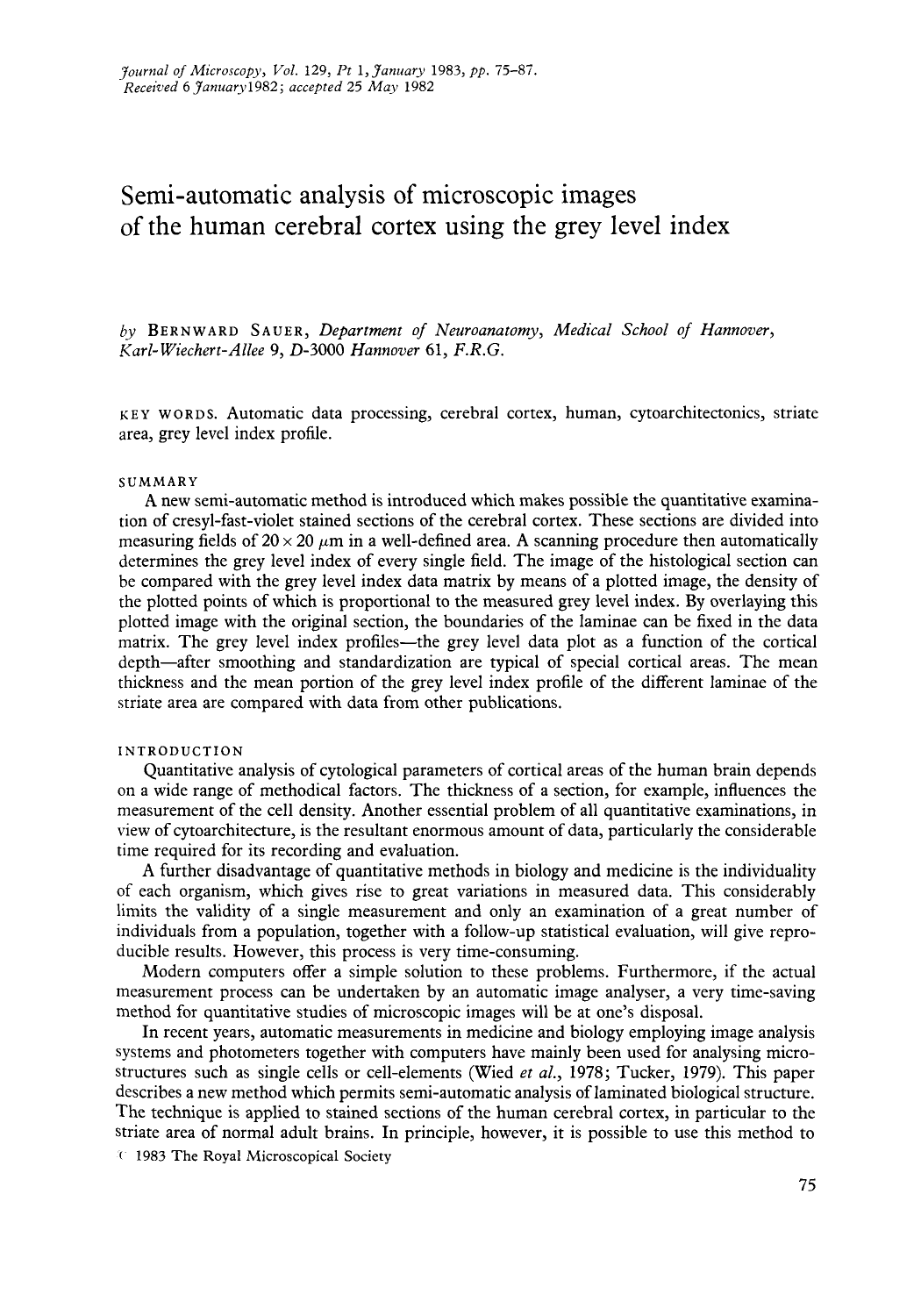# Semi-automatic analysis of microscopic images of the human cerebral cortex using the grey level index

*by* **BERNWARD SAUER,** *Department of Neuroanatomy, Medical School of Hunnover, Karl- Wiechert-Allee 9, 0-3000 Hunnover* **61,** *F.R.G.* 

**I< EY w ORD S.** Automatic data processing, cerebral cortex, human, cytoarchitectonics, striate area, grey level index profile.

#### **SUMMARY**

**A** new semi-automatic method is introduced which makes possible the quantitative examination of cresyl-fast-violet stained sections of the cerebral cortex. These sections are divided into measuring fields of  $20 \times 20 \mu m$  in a well-defined area. A scanning procedure then automatically determines the grey level index of every single field. The image of the histological section can be compared with the grey level index data matrix by means of a plotted image, the density of the plotted points of which is proportional to the measured grey level index. By overlaying this plotted image with the original section, the boundaries of the laminae can be fixed in the data matrix. The grey level index profiles—the grey level data plot as a function of the cortical depth-after smoothing and standardization are typical of special cortical areas. The mean thickness and the mean portion of the grey level index profile of the different laminae of the striate area are compared with data from other publications.

#### **INTRODUCTION**

Quantitative analysis of cytological parameters of cortical areas of the human brain depends on a wide range of methodical factors. The thickness of a section, for example, influences the measurement of the cell density. Another essential problem of all quantitative examinations, in view of cytoarchitecture, is the resultant enormous amount of data, particularly the considerable time required for its recording and evaluation.

A further disadvantage of quantitative methods in biology and medicine is the individuality of each organism, which gives rise to great variations in measured data. This considerably limits the validity of a single measurement and only an examination of a great number of individuals from a population, together with a follow-up statistical evaluation, will give reproducible results. However, this process is very time-consuming.

Modern computers offer a simple solution to these problems. Furthermore, if the actual measurement process can be undertaken by an automatic image analyser, a very time-saving method for quantitative studies of microscopic images will be at one's disposal.

In recent years, automatic measurements in medicine and biology employing image analysis systems and photometers together with computers have mainly been used for analysing microstructures such as single cells or cell-elements (Wied *et al., 1978;* Tucker, *1979).* This paper describes a new method which permits semi-automatic analysis of laminated biological structure. The technique is applied to stained sections of the human cerebral cortex, in particular to the striate area of normal adult brains. In principle, however, it is possible to use this method to

( *1983* **The Royal Microscopical Society**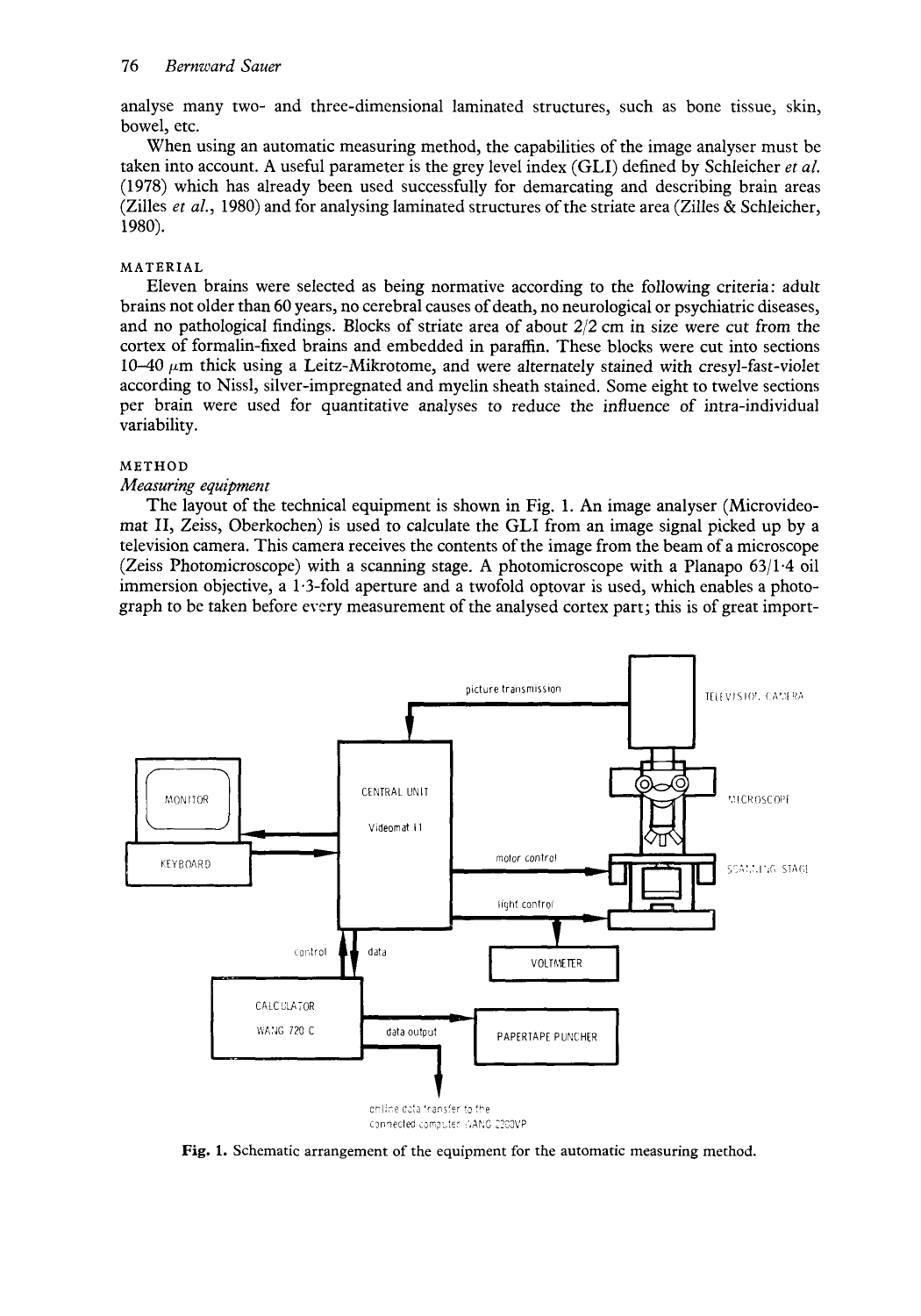analyse many two- and three-dimensional laminated structures, such as bone tissue, skin, bowel, etc.

When using an automatic measuring method, the capabilities of the image analyser must be taken into account. A useful parameter is the grey level index (GLI) defined by Schleicher *et al.*  (1 978) which has already been used successfully for demarcating and describing brain areas (Zilles *et al.,* 1980) and for analysing laminated structures of the striate area (Zilles & Schleicher, 1980).

## **MATERIAL**

Eleven brains were selected as being normative according to the following criteria : adult brains not older than 60 years, no cerebral causes of death, no neurological or psychiatric diseases, and no pathological findings. Blocks of striate area of about *212* cm in size were cut from the cortex of formalin-fured brains and embedded in paraffin. These blocks were cut into sections  $10-40 \mu m$  thick using a Leitz-Mikrotome, and were alternately stained with cresyl-fast-violet according to Nissl, silver-impregnated and myelin sheath stained. Some eight to twelve sections per brain were used for quantitative analyses to reduce the influence of intra-individual variability.

#### **METHOD**

## *Measuring equipment*

The layout of the technical equipment is shown in Fig. 1. **An** image analyser (Microvideomat 11, Zeiss, Oberkochen) is used to calculate the GLI from an image signal picked up by a television camera. This camera receives the contents of the image from the beam of a microscope (Zeiss Photomicroscope) with a scanning stage. **A** photomicroscope with a Planapo 63/1.4 oil immersion objective, a 1.3-fold aperture and a twofold optovar is used, which enables a photograph to be taken before every measurement of the analysed cortex part; this is of great import-



**Fig. 1.** Schematic arrangement of the equipment for the automatic measuring method.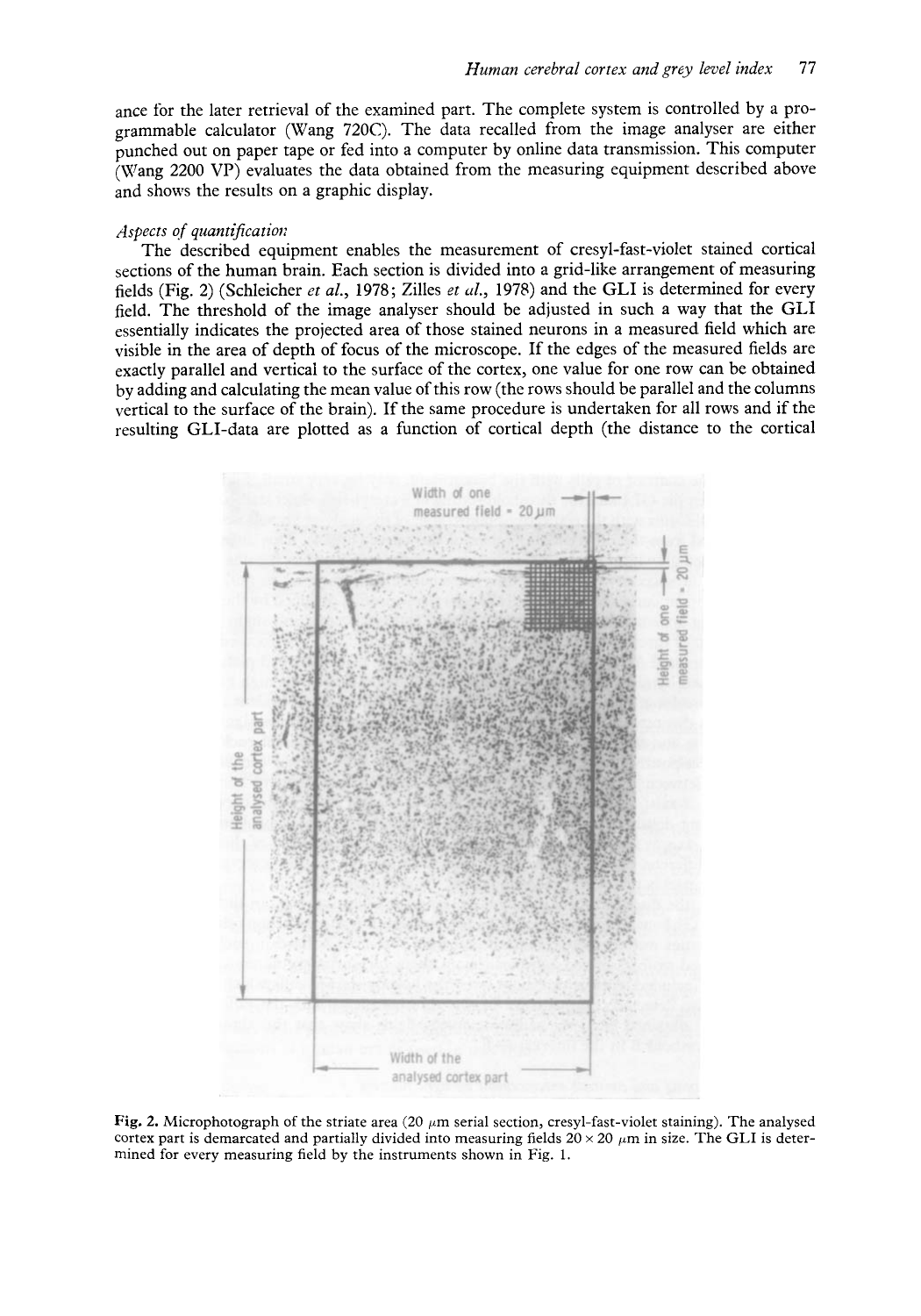ance for the later retrieval of the examined part. The complete system is controlled by a programmable calculator (Wang 720C). The data recalled from the image analyser are either punched out on paper tape or fed into a computer by online data transmission. This computer (Wang 2200 VP) evaluates the data obtained from the measuring equipment described above and shows the results on a graphic display.

### *Aspects of quantificatioi:*

The described equipment enables the measurement of cresyl-fast-violet stained cortical sections of the human brain. Each section is divided into a grid-like arrangement of measuring fields (Fig. 2) (Schleicher *et al.*, 1978; Zilles *et al.*, 1978) and the GLI is determined for every field. The threshold of the image analyser should be adjusted in such a way that the GLI essentially indicates the projected area of those stained neurons in a measured field which are visible in the area of depth of focus of the microscope. If the edges of the measured fields are exactly parallel and vertical to the surface of the cortex, one value for one row can be obtained by adding and calculating the mean value of this row (the rows should be parallel and the columns vertical to the surface of the brain). If the same procedure is undertaken for all rows and if the resulting GLI-data are plotted as a function of cortical depth (the distance to the cortical



Fig. 2. Microphotograph of the striate area  $(20 \mu m)$  serial section, cresyl-fast-violet staining). The analysed cortex part is demarcated and partially divided into measuring fields  $20 \times 20 \mu m$  in size. The GLI is determined for every measuring field by the instruments shown in Fig. 1.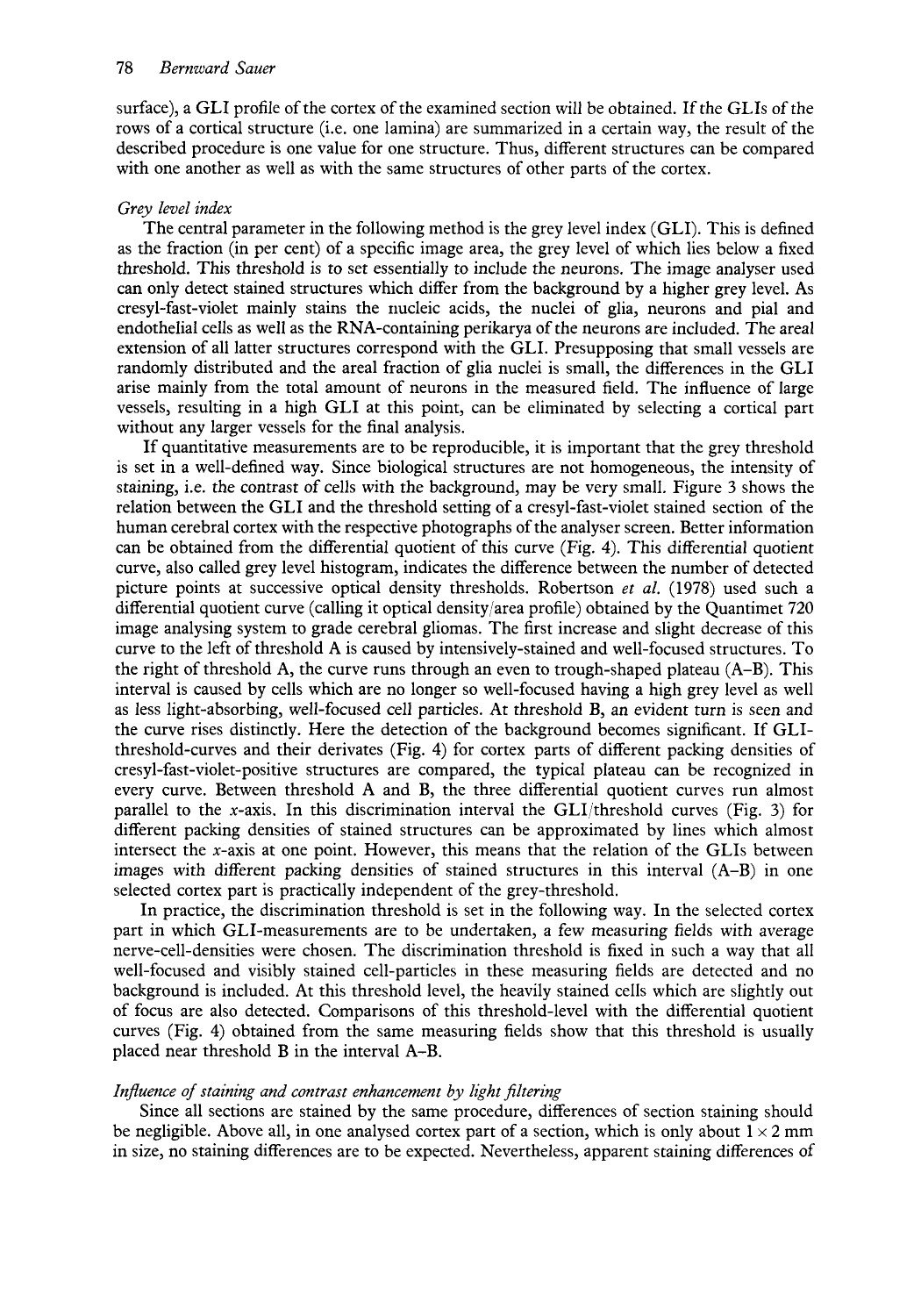surface), a GLI profile of the cortex of the examined section will be obtained. If the GLIs of the rows of a cortical structure (i.e. one lamina) are summarized in a certain way, the result of the described procedure is one value for one structure. Thus, different structures can be compared with one another as well as with the same structures of other parts of the cortex.

# *Grey level index*

The central parameter in the following method is the grey level index (GLI). This is defined as the fraction (in per cent) of a specific image area, the grey level of which lies below a fixed threshold. This threshold is to set essentially to include the neurons. The image analyser used can only detect stained structures which differ from the background by a higher grey level. As cresyl-fast-violet mainly stains the riucleic acids, the nuclei of glia, neurons and pial and endothelial cells as well as the RNA-containing perikarya of the neurons are included. The areal extension of all latter structures correspond with the GLI. Presupposing that small vessels are randomly distributed and the areal fraction of glia nuclei is small, the differences in the GLI arise mainly from the total amount of neurons in the measured field. The influence of large vessels, resulting in a high GLI at this point, can be eliminated by selecting a cortical part without any larger vessels for the final analysis.

If quantitative measurements are to be reproducible, it is important that the grey threshold is set in a well-defined way. Since biological structures are not homogeneous, the intensity of staining, i.e. the contrast of cells with the background, may be very small. Figure **3** shows the relation between the GLI and the threshold setting of a cresyl-fast-violet stained section of the human cerebral cortex with the respective photographs of the analyser screen. Better information can be obtained from the differential quotient of this curve (Fig. **4).** This differential quotient curve, also called grey level histogram, indicates the difference between the number of detected picture points at successive optical density thresholds. Robertson *et al.* (1978) used such a differential quotient curve (calling it optical density/area profile) obtained by the Quantimet 720 image analysing system to grade cerebral gliomas. The first increase and slight decrease of this curve to the left of threshold A is caused by intensively-stained and well-focused structures. To the right of threshold A, the curve runs through an even to trough-shaped plateau  $(A-B)$ . This interval is caused by cells which are no longer so well-focused having a high grey level as well as less light-absorbing, well-focused cell particles. At threshold B, an evident turn is seen and the curve rises distinctly. Here the detection of the background becomes significant. If GLIthreshold-curves and their derivates (Fig. **4)** for cortex parts of different packing densities of cresyl-fast-violet-positive structures are compared, the typical plateau can be recognized in every curve. Between threshold A and B, the three differential quotient curves run almost parallel to the x-axis. In this discrimination interval the GLI/threshold curves (Fig.  $3$ ) for different packing densities of stained structures can be approximated by lines which almost intersect the x-axis at one point. However, this means that the relation of the GLIs between images with different packing densities of stained structures in this interval (A-B) in one selected cortex part is practically independent of the grey-threshold.

In practice, the discrimination threshold is set in the following way. In the selected cortex part in which GLI-measurements are to be undertaken, a few measuring fields with average nerve-cell-densities were chosen. The discrimination threshold is fixed in such a way that all well-focused and visibly stained cell-particles in these measuring fields are detected and no background is included. At this threshold level, the heavily stained cells which are slightly out of focus are also detected. Comparisons of this threshold-level with the differential quotient curves (Fig. 4) obtained from the same measuring fields show that this threshold is usually placed near threshold B in the interval A-B.

# *Influence of staining and contrast enhancement by light filtering*

Since all sections are stained by the same procedure, differences of section staining should be negligible. Above all, in one analysed cortex part of a section, which is only about  $1 \times 2$  mm in size, no staining differences are to be expected. Nevertheless, apparent staining differences of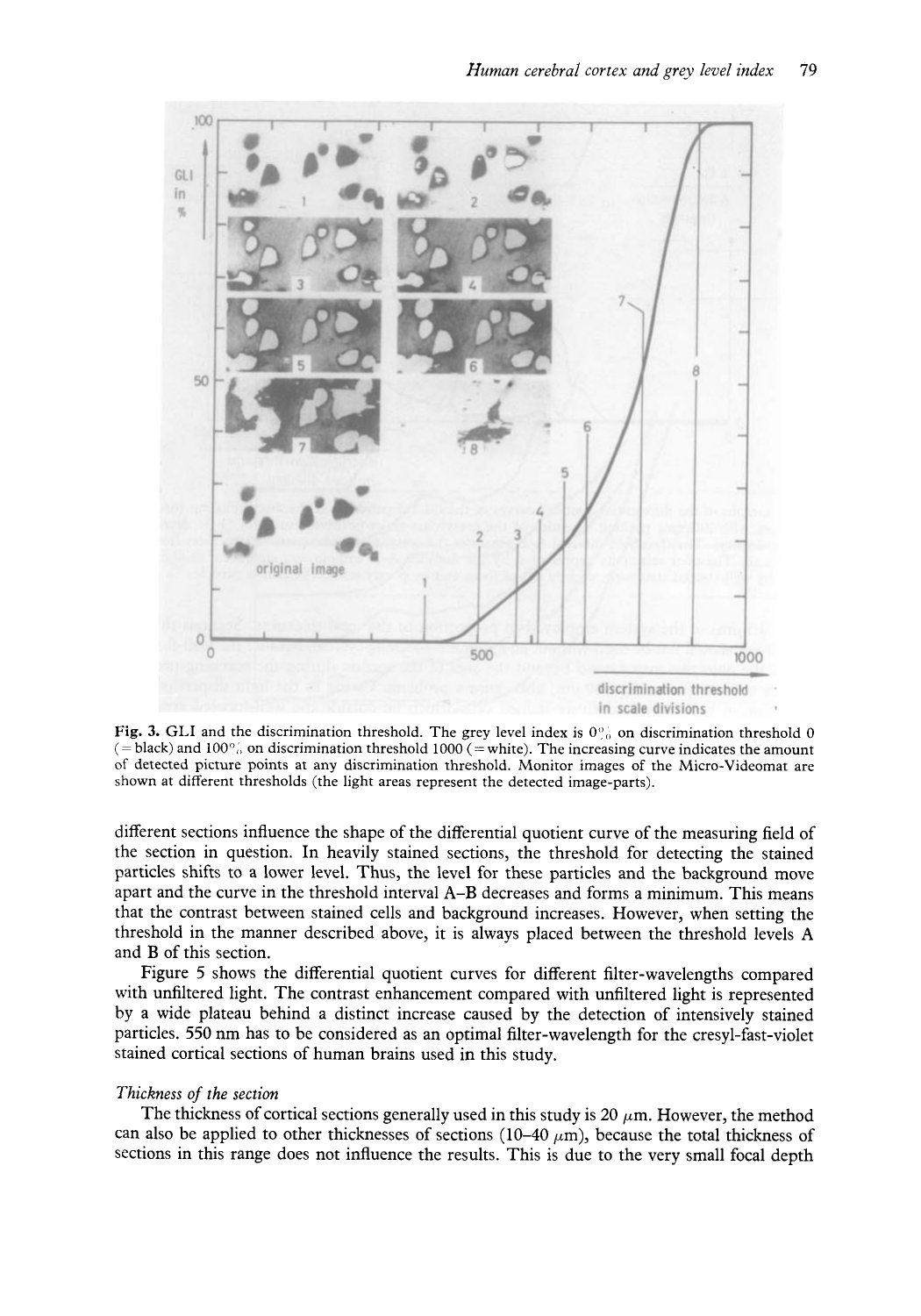

**Fig. 3.** GLI and the discrimination threshold. The grey level index is  $0^\circ$ , on discrimination threshold 0 (= black) and  $100\%$  on discrimination threshold 1000 (= white). The increasing curve indicates the amount of detected picture points at any discrimination threshold. Monitor images of the Micro-Videomat are shown at different thresholds (the light areas represent the detected image-parts).

different sections influence the shape of the differential quotient curve of the measuring field of the section in question. In heavily stained sections, the threshold for detecting the stained particles shifts to a lower level. Thus, the level for these particles and the background move apart and the curve in the threshold interval **A-B** decreases and forms a minimum. This means that the contrast between stained cells and background increases. However, when setting the threshold in the manner described above, it is always placed between the threshold levels **A**  and B of this section.

Figure 5 shows the differential quotient curves for different filter-wavelengths compared with unfiltered light. The contrast enhancement compared with unfiltered light is represented by a wide plateau behind a distinct increase caused by the detection of intensively stained particles. 550 nm has to be considered as an optimal filter-wavelength for the cresyl-fast-violet stained cortical sections of human brains used in this study.

## *Thickness of the section*

The thickness of cortical sections generally used in this study is 20  $\mu$ m. However, the method can also be applied to other thicknesses of sections (10–40  $\mu$ m), because the total thickness of sections in this range does not influence the results. This is due to the very small focal depth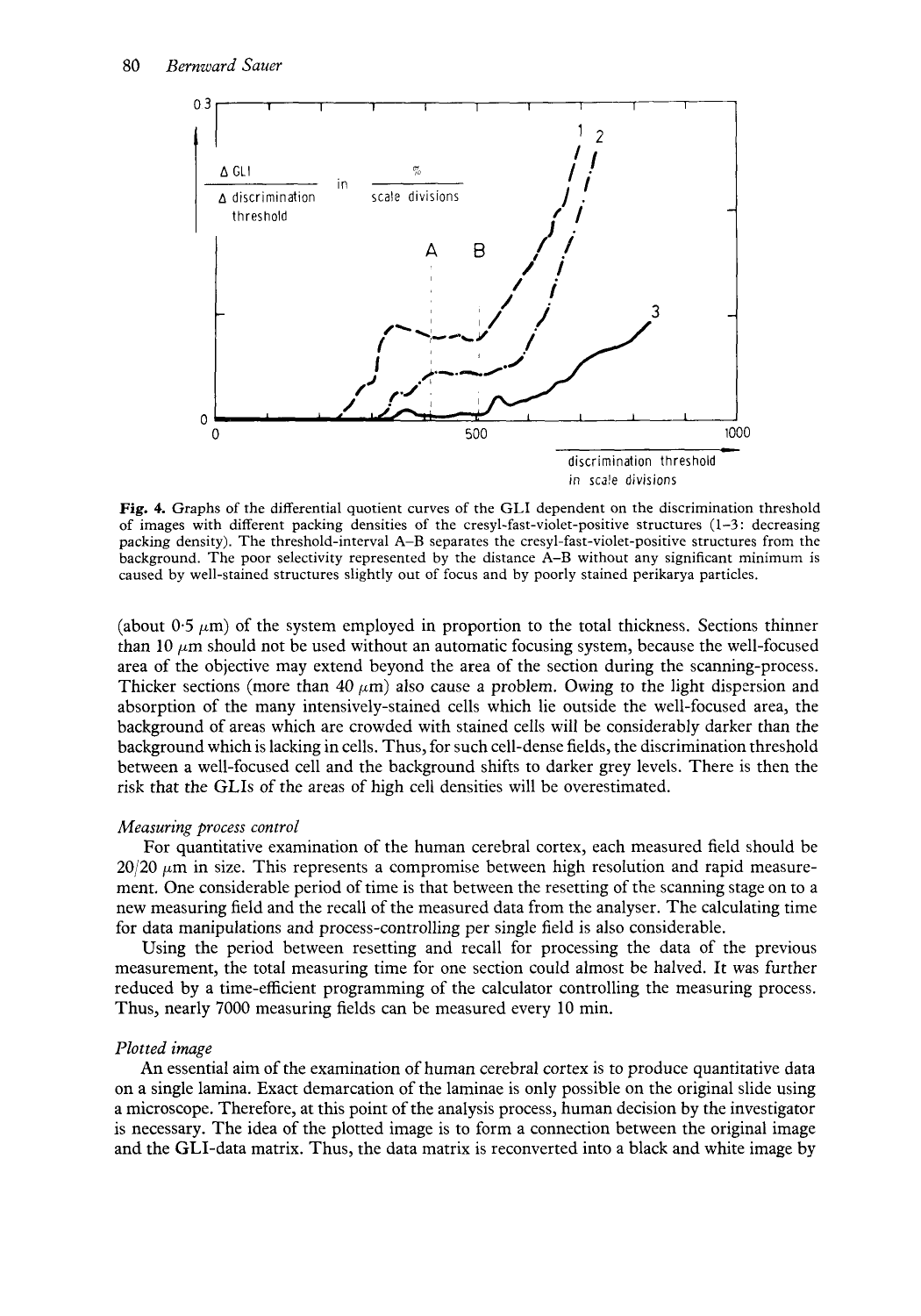

**Fig. 4.** Graphs of the differential quotient curves of the GLI dependent on the discrimination threshold of images with different packing densities of the cresyl-fast-violet-positive structures (1-3 : decreasing packing density). The threshold-interval **A-B** separates the cresyl-fast-violet-positive structures from the background. The poor selectivity represented by the distance **A-B** without any significant minimum is caused by well-stained structures slightly out of focus and by poorly stained perikarya particles.

(about  $0.5 \mu m$ ) of the system employed in proportion to the total thickness. Sections thinner than 10  $\mu$ m should not be used without an automatic focusing system, because the well-focused area of the objective may extend beyond the area of the section during the scanning-process. Thicker sections (more than 40  $\mu$ m) also cause a problem. Owing to the light dispersion and absorption of the many intensively-stained cells which lie outside the well-focused area, the background of areas which are crowded with stained cells will be considerably darker than the background which is lacking in cells. Thus, for such cell-dense fields, the discrimination threshold between a well-focused cell and the background shifts to darker grey levels. There is then the risk that the GLIs of the areas of high cell densities will be overestimated.

## *Measuring process control*

For quantitative examination of the human cerebral cortex, each measured field should be  $20/20 \mu m$  in size. This represents a compromise between high resolution and rapid measurement. One considerable period of time is that between the resetting of the scanning stage on to a new measuring field and the recall of the measured data from the analyser. The calculating time for data manipulations and process-controlling per single field is also considerable.

Using the period between resetting and recall for processing the data of the previous measurement, the total measuring time for one section could almost be halved. It was further reduced by a time-efficient programming of the calculator controlling the measuring process. Thus, nearly 7000 measuring fields can be measured every 10 min.

#### *Plotted image*

An essential aim of the examination of human cerebral cortex is to produce quantitative data on a single lamina. Exact demarcation of the laminae is only possible on the original slide using a microscope. Therefore, at this point of the analysis process, human decision by the investigator is necessary. The idea of the plotted image is to form a connection between the original image and the GLI-data matrix. Thus, the data matrix is reconverted into a black and white image by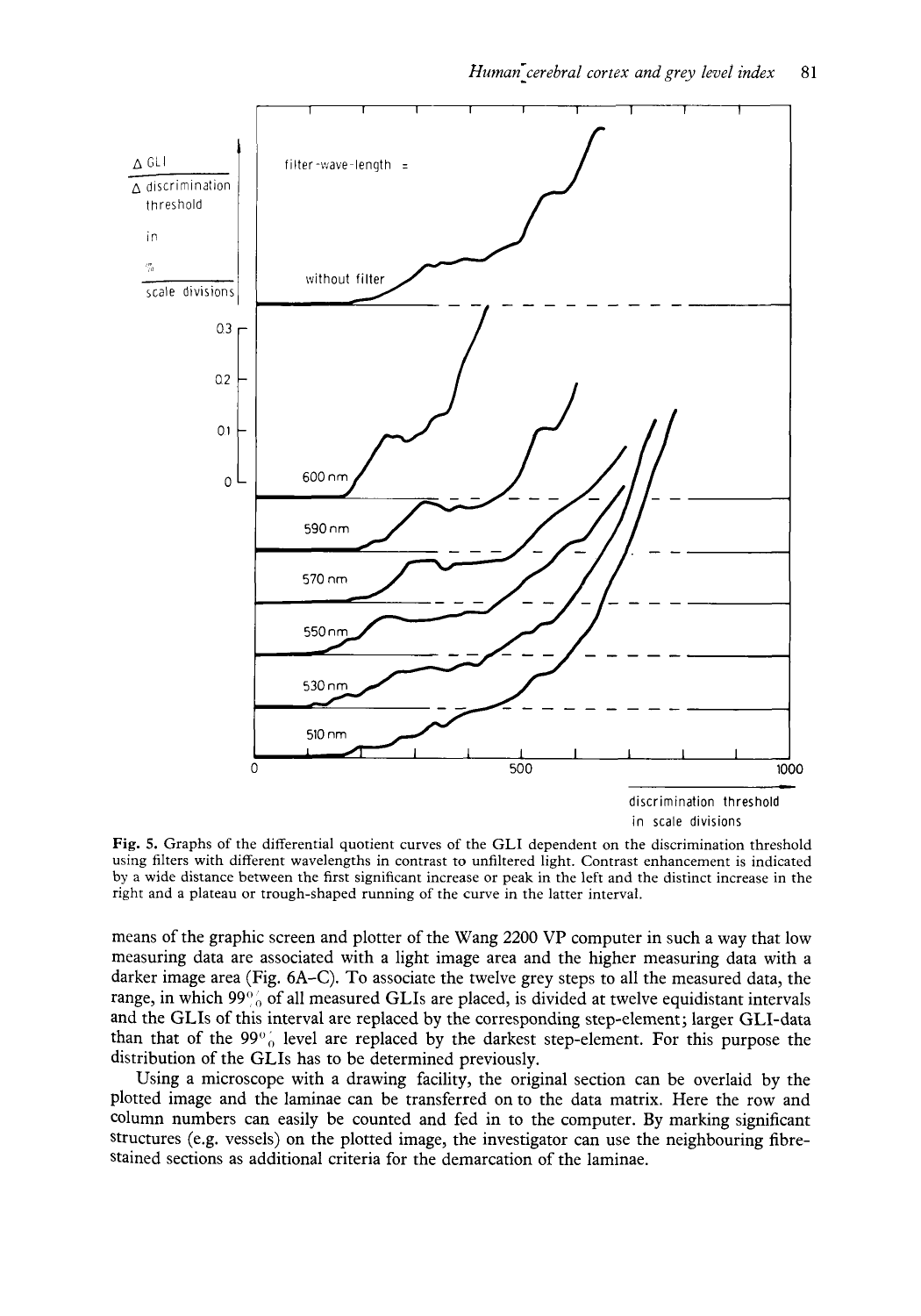

**Fig. 5.** Graphs of the differential quotient curves of the GLI dependent on the discrimination threshold using filters with different wavelengths in contrast to unfiltered light. Contrast enhancement is indicated by a wide distance between the first significant increase or peak in the left and the distinct increase in the right and a plateau or trough-shaped running of the curve in the latter interval.

means of the graphic screen and plotter of the Wang 2200 VP computer in such a way that low measuring data are associated with a light image area and the higher measuring data with a darker image area (Fig. 6A-C). To associate the twelve grey steps to all the measured data, the range, in which  $99\%$  of all measured GLIs are placed, is divided at twelve equidistant intervals and the GLIs of this interval are replaced by the corresponding step-element; larger GLI-data than that of the  $99\%$  level are replaced by the darkest step-element. For this purpose the distribution of the GLIs has to be determined previously.

Using a microscope with a drawing facility, the original section can be overlaid by the plotted image and the laminae can be transferred on to the data matrix. Here the row and column numbers can easily be counted and fed in to the computer. By marking significant Structures (e.g. vessels) on the plotted image, the investigator can use the neighbouring fibrestained sections as additional criteria for the demarcation of the laminae.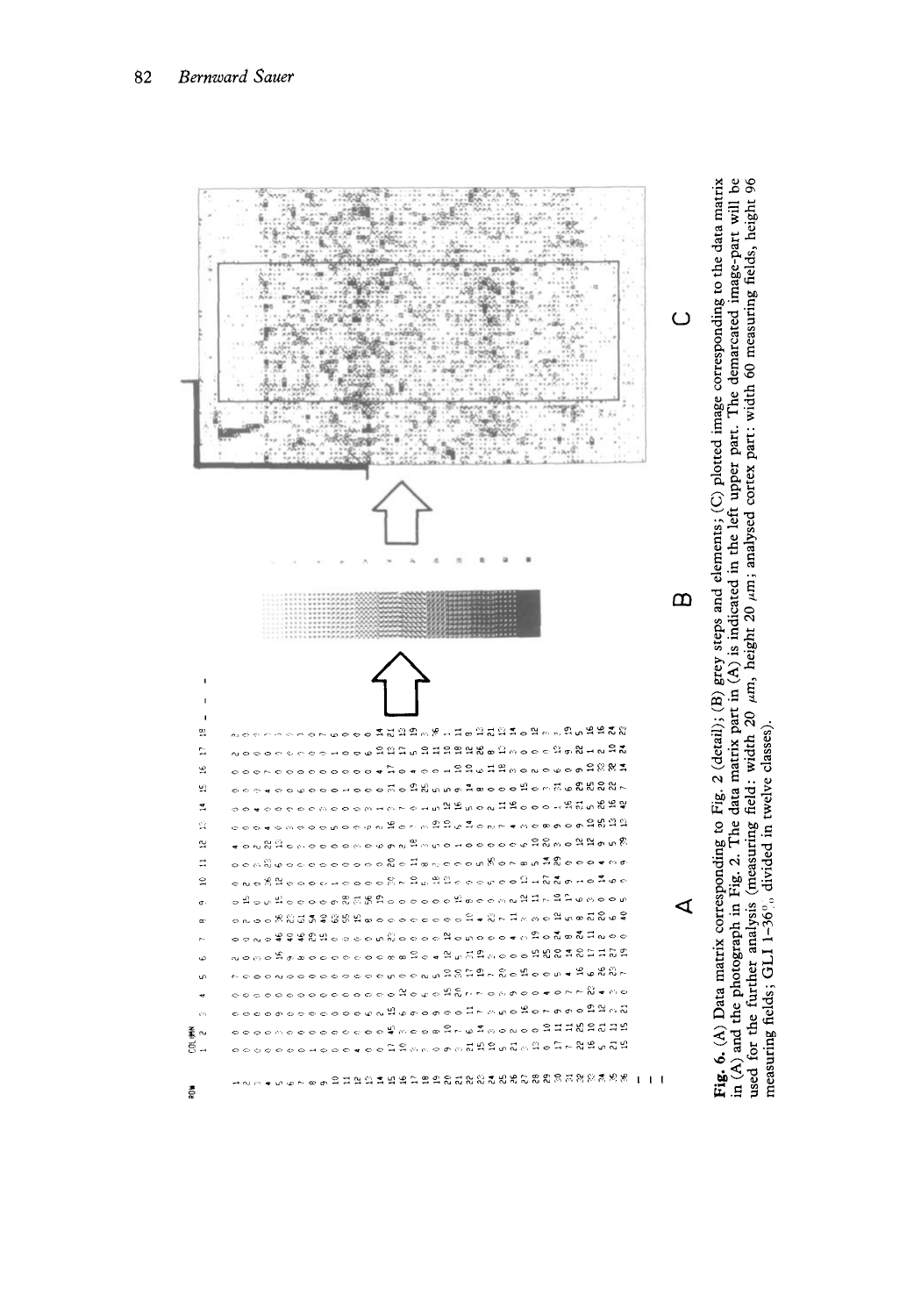

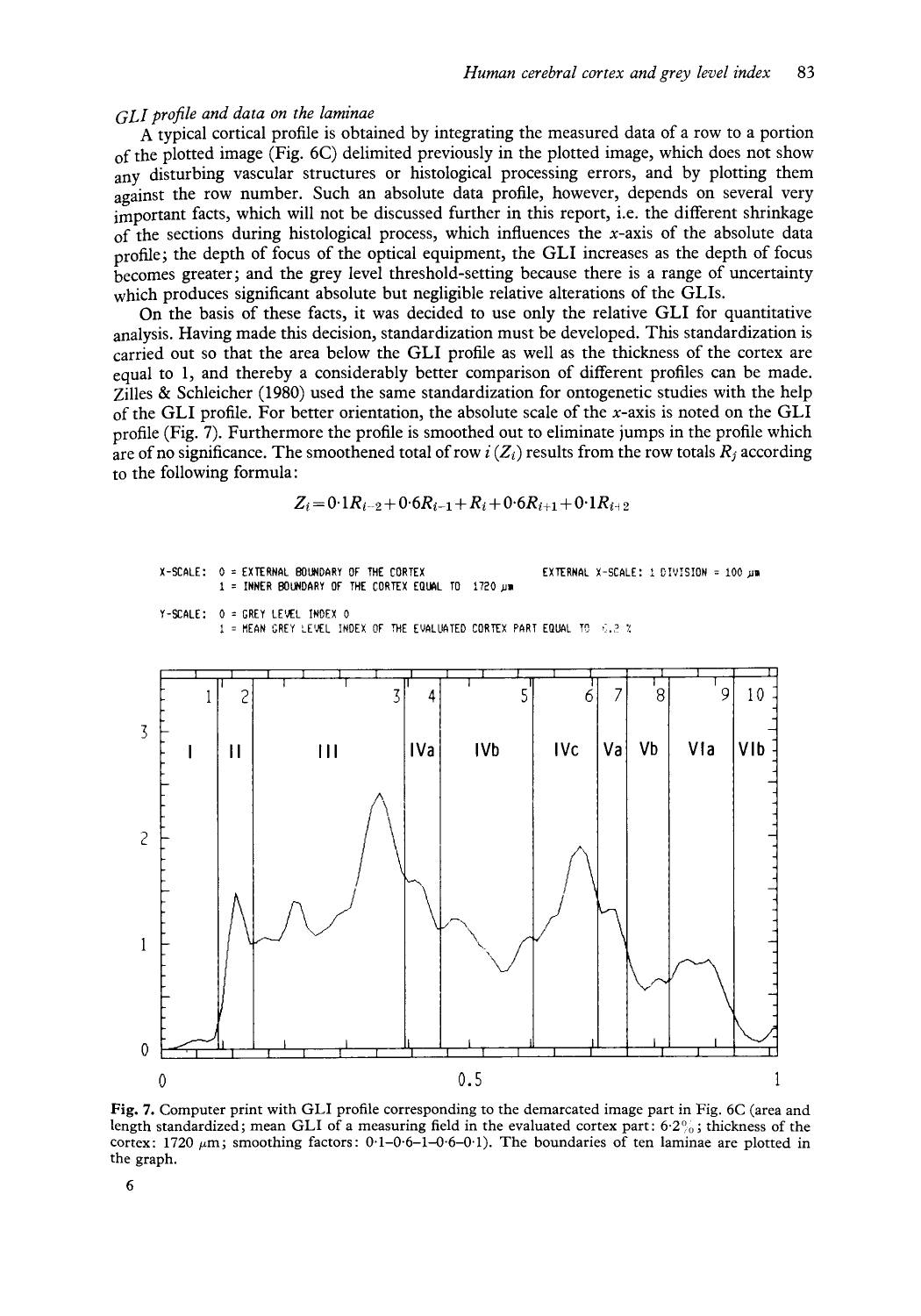# *GLI profile* and data *on the* laminae

**A** typical cortical profile is obtained by integrating the measured data of a row to a portion of the plotted image (Fig. *6C)* delimited previously in the plotted image, which does not show any disturbing vascular structures or histological processing errors, and by plotting them against the row number. Such an absolute data profile, however, depends on several very important facts, which will not be discussed further in this report, i.e. the different shrinkage of the sections during histological process, which influences the  $x$ -axis of the absolute data profile; the depth of focus of the optical equipment, the GLI increases as the depth of focus becomes greater ; and the grey level threshold-setting because there is a range of uncertainty which produces significant absolute but negligible relative alterations of the GLIs.

On the basis of these facts, it was decided to use only the relative GLI for quantitative analysis. Having made this decision, standardization must be developed. This standardization is carried out so that the area below the GLI profile as well as the thickness of the cortex are equal to 1, and thereby a considerably better comparison of different profiles can be made. Zilles & Schleicher (1980) used the same standardization for ontogenetic studies with the help of the GLI profile. For better orientation, the absolute scale of the x-axis is noted on the GLI profile (Fig. 7). Furthermore the profile is smoothed out to eliminate jumps in the profile which are of no significance. The smoothened total of row  $i(Z_i)$  results from the row totals  $R_j$  according to the following formula:

$$
Z_i\!=\!0\!\cdot\!1R_{i-2}\!+\!0\!\cdot\!6R_{i-1}\!+\!R_i\!+\!0\!\cdot\!6R_{i+1}\!+\!0\!\cdot\!1R_{i+2}
$$



0 0.5

-I-

1

**Fig. 7.** Computer print with GLI profile corresponding to the demarcated image part in Fig. 6C (area and length standardized; mean GLI of a measuring field in the evaluated cortex part:  $6.2\%$ ; thickness of the cortex: 1720  $\mu$ m; smoothing factors: 0.1-0.6-1-0.6-0.1). The boundaries of ten laminae are plotted in the graph.

0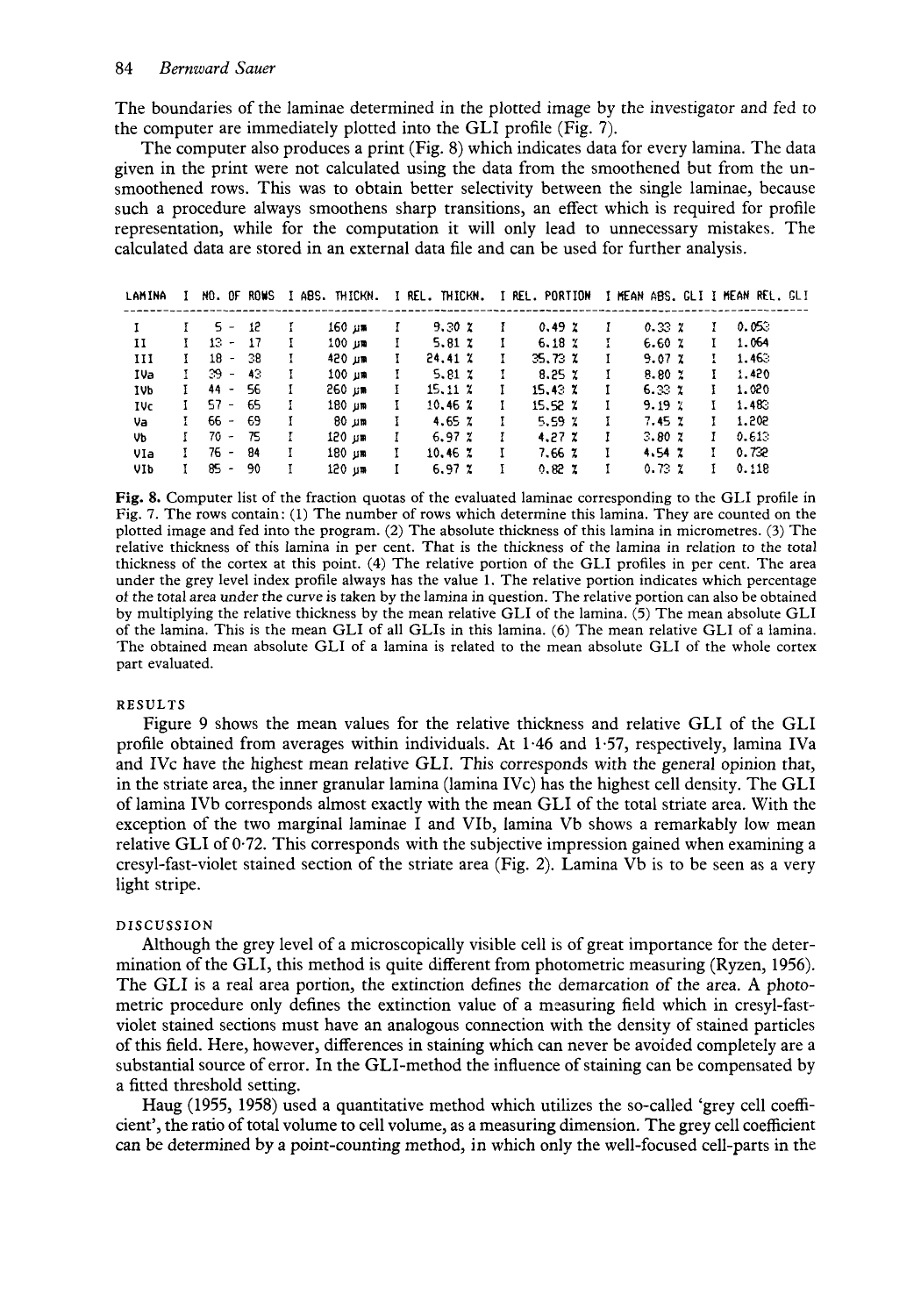The boundaries of the laminae determined in the plotted image by the investigator and fed to the computer are immediately plotted into the GLI profile (Fig. 7).

The computer also produces a print (Fig. 8) which indicates data for every lamina. The data given in the print were not calculated using the data from the smoothened but from the unsmoothened rows. This was to obtain better selectivity between the single laminae, because such a procedure always smoothens sharp transitions, an effect which is required for profile representation, while for the computation it will only lead to unnecessary mistakes. The calculated data are stored in an external data file and can be used for further analysis.

| LAMINA       |              | NO. OF ROWS |     |   |        |   |                |              |               |              | I ABS. THICKN. I REL. THICKN. I REL. PORTION I HEAN ABS. GLI I HEAN REL. GLI |    |       |
|--------------|--------------|-------------|-----|---|--------|---|----------------|--------------|---------------|--------------|------------------------------------------------------------------------------|----|-------|
|              |              | $5 - 12$    |     |   | 160 ม≡ |   | 9.30Z          |              | 0.49Z         |              | 0.33 z                                                                       |    | 0.053 |
| 11           | Ŧ.           | $13 - 17$   |     |   | 100 ม≌ | L | 5.81 $\chi$    | Ŧ            | $6.18 \times$ |              | 6.60Z                                                                        |    | 1.064 |
| $_{\rm III}$ | L            | $18 - 38$   |     | H | 420 பா | L | 24.41 %        |              | 35.73 %       | Ι.           | 9.07Z                                                                        | I. | 1.463 |
| IVa          | $\mathbf{I}$ | $39 - 43$   |     | H | 100 มต | L | $5.81 \, z$    | $\mathbf{I}$ | $8.25 \times$ | L            | $8.80 \times$                                                                | L  | 1.420 |
| IVb.         | L            | $44 - 56$   |     | Т | 260 um | L | $15.11 \times$ |              | $15.43\chi$   | $\mathbf{I}$ | 6.33Z                                                                        | Ŧ. | 1.020 |
| IVc.         | L            | $57 - 65$   |     |   | 180 µm | L | 10.46Z         |              | 15.52 %       | $\mathbf{I}$ | 9.197                                                                        | Ŧ. | 1.483 |
| Va           | L            | $66 - 69$   |     | I | 80 บπ  | L | 4.65 $\chi$    |              | $5.59 \times$ | L            | 7.45 %                                                                       |    | 1.202 |
| Vb.          | Ι            | $70 - 75$   |     | I | 120 թթ | L | 6.97Z          |              | 4.27Z         |              | 3.80Z                                                                        | L  | 0.613 |
| VIa          | L            | 76 -        | -84 | н | 180 µm | L | $10.46 \times$ | 1            | 7.66 %        |              | 4.54 Z                                                                       |    | 0.732 |
| VIb.         | L            | $85 - 90$   |     |   | 120 um | L | $6.97 \times$  |              | 0.82 Z        |              | 0.73Z                                                                        | Ŧ  | 0.118 |

Fig. 8. Computer list of the fraction quotas of the evaluated laminae corresponding to the GLI profile in Fig. 7. The rows contain: (1) The number of rows which determine this lamina. They are counted on the plotted image and fed into the program. (2) The absolute thickness of this lamina in micrometres. (3) The relative thickness of this lamina in per cent. That is the thickness of the lamina in relation to the total thickness of the cortex at this point. (4) The relative portion of the GLI profiles in per cent. The area under the grey level index profile always has the value 1. The relative portion indicates which percentage of the total area under the curve is taken by the lamina in question. The relative portion can also be obtained by multiplying the relative thickness by the mean relative GLI of the lamina. (5) The mean absolute GLI of the lamina. This is the mean GLI of all GLIs in this lamina. (6) The mean relative GLI of a lamina. The obtained mean absolute GLI of a lamina is related to the mean absolute GLI of the whole cortex part evaluated.

#### **RESULTS**

Figure 9 shows the mean values for the relative thickness and relative GLI of the GLI profile obtained from averages within individuals. At 1.46 and 1.57, respectively, lamina IVa and IVc have the highest mean relative GLI. This corresponds with the general opinion that, in the striate area, the inner granular lamina (lamina IVc) has the highest cell density. The GLI of lamina IVb corresponds almost exactly with the mean GLI of the total striate area. With the exception of the two marginal laminae I and VIb, lamina Vb shows a remarkably low mean relative GLI of 0.72. This corresponds with the subjective impression gained when examining a cresyl-fast-violet stained section of the striate area (Fig. 2). Lamina Vb is to be seen as a very light stripe.

## DISCUSSION

Although the grey level of a microscopically visible cell is of great importance for the determination of the GLI, this method is quite different from photometric measuring (Ryzen, 1956). The GLI is a real area portion, the extinction defines the demarcation of the area. A photometric procedure only defines the extinction value of a measuring field which in cresyl-fastviolet stained sections must have an analogous connection with the density of stained particles of this field. Here, however, differences in staining which can never be avoided completely are a substantial source of error. In the GLI-method the influence of staining can be compensated by a fitted threshold setting.

Haug (1955, 1958) used a quantitative method which utilizes the so-called 'grey cell coefficient', the ratio of total volume to cell volume, as a measuring dimension. The grey cell coefficient can be determined by a point-counting method, in which only the well-focused cell-parts in the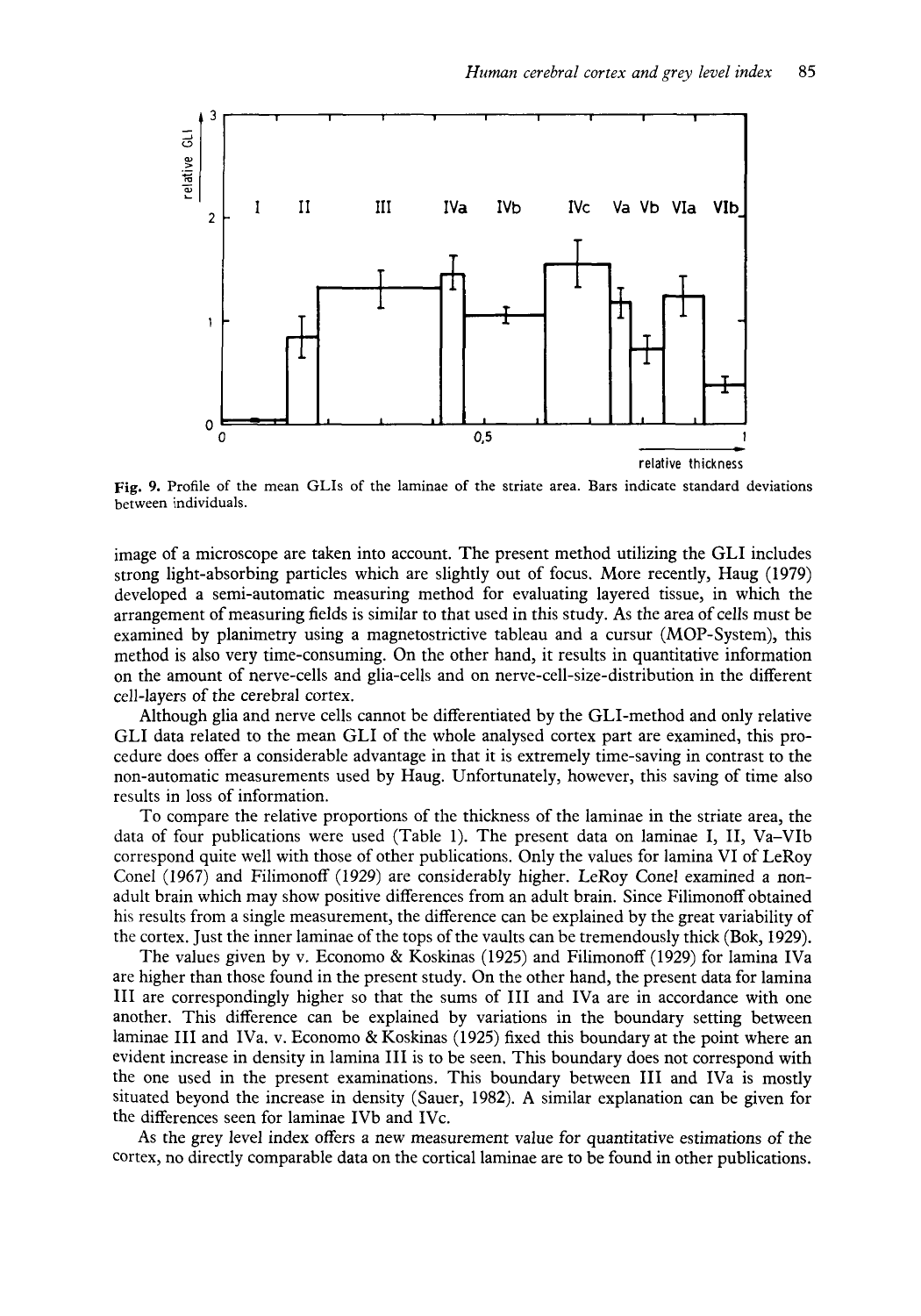

*Human cerebral cortex and grey level index* **85** 

**Fig. 9.** Profile of the mean GLIs of the laminae of the striate area. Bars indicate standard deviations between individuals.

image of a microscope are taken into account. The present method utilizing the GLI includes strong light-absorbing particles which are slightly out of focus. More recently, Haug (1979) developed a semi-automatic measuring method for evaluating layered tissue, in which the arrangement of measuring fields is similar to that used in this study. **As** the area of cells must be examined by planimetry using a magnetostrictive tableau and a cursur (MOP-System), this method is also very time-consuming. On the other hand, it results in quantitative information on the amount of nerve-cells and glia-cells and on nerve-cell-size-distribution in the different cell-layers of the cerebral cortex.

Although glia and nerve cells cannot be differentiated by the GLI-method and only relative GLI data related to the mean GLI of the whole analysed cortex part are examined, this procedure does offer a considerable advantage in that it is extremely time-saving in contrast to the non-automatic measurements used by Haug. Unfortunately, however, this saving of time also results in loss of information.

To compare the relative proportions of the thickness of the laminae in the striate area, the data of four publications were used (Table 1). The present data on laminae I, 11, Va-VIb correspond quite well with those of other publications. Only the values for lamina VI of LeRoy Conel (1967) and Filimonoff (1929) are considerably higher. LeRoy Conel examined a nonadult brain which may show positive differences from an adult brain. Since Filimonoff obtained his results from a single measurement, the difference can be explained by the great variability of the cortex. Just the inner laminae of the tops of the vaults can be tremendously thick (Bok, 1929).

The values given by v. Economo & Koskinas (1925) and Filimonoff (1929) for lamina IVa are higher than those found in the present study. On the other hand, the present data for lamina I11 are correspondingly higher so that the sums of I11 and IVa are in accordance with one another. This difference can be explained by variations in the boundary setting between laminae I11 and IVa. v. Economo & Koskinas (1925) fixed this boundary at the point where an evident increase in density in lamina I11 is to be seen. This boundary does not correspond with the one used in the present examinations. This boundary between I11 and IVa is mostly situated beyond the increase in density (Sauer, 1982). A similar explanation can be given for the differences seen for laminae IVb and IVc.

As the grey level index offers a new measurement value for quantitative estimations of the cortex, no directly comparable data on the cortical laminae are to be found in other publications.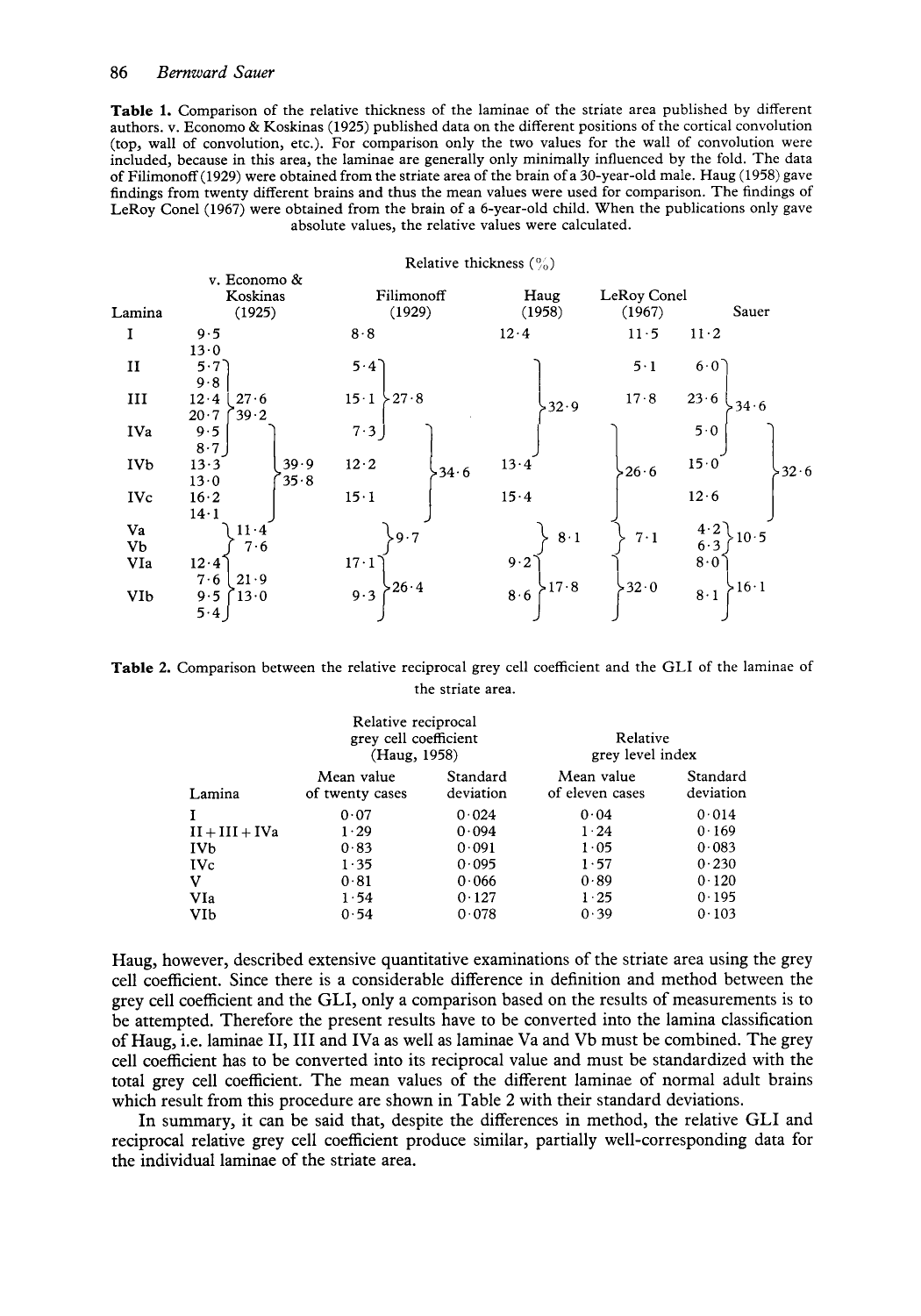**Table 1.** Comparison of the relative thickness of the laminae of the striate area published by different authors. v. Economo & Koskinas (1925) published data on the different positions of the cortical convolution (top, wall of convolution, etc.). For comparison only the two values for the wall of convolution were included, because in this area, the laminae are generally only minimally influenced by the fold. The data of Filimonoff (1929) were obtained from the striate area of the brain of a 30-year-old male. Haug (1958) gave findings from twenty different brains and thus the mean values were used for comparison. The findings of LeRoy Conel (1967) were obtained from the brain of a 6-year-old child. When the publications only gave absolute values, the relative values were calculated.

| Relative thickness $($ %) |                                      |                               |                     |                           |               |  |  |  |  |
|---------------------------|--------------------------------------|-------------------------------|---------------------|---------------------------|---------------|--|--|--|--|
| Lamina                    | v. Economo &<br>Koskinas<br>(1925)   | Filimonoff<br>(1929)          | Haug<br>(1958)      | LeRoy Conel<br>(1967)     | Sauer         |  |  |  |  |
|                           | 9.5<br>13.0                          | 8.8                           | 12.4                | $11-5$<br>$11 \cdot 2$    |               |  |  |  |  |
| и                         | 5.7<br>9.8                           | $5 \cdot 4$                   |                     | 5.1<br>$6.0^\circ$        |               |  |  |  |  |
| Ш                         | 27.6<br>$12 \cdot 4$<br>39.2<br>20.7 | $\Sigma$ 27.8<br>$15 \cdot 1$ | $-32.9$             | 23.6<br>17.8              | >34.6         |  |  |  |  |
| IVa                       | 9.5<br>8.7                           | 7.3                           |                     | 50                        |               |  |  |  |  |
| <b>IVb</b>                | 39.9<br>13.3<br>35.8<br>13.0         | $12 \cdot 2$<br>$-34.6$       | 13.4                | 15.0<br>$-26.6$           | $-32.6$       |  |  |  |  |
| <b>IVc</b>                | 16.2<br>$14 \cdot 1$                 | $15 \cdot 1$                  | 15.4                | 12.6                      |               |  |  |  |  |
| Va<br>Vb                  | $11 \cdot 4$<br>7.6                  | $-9.7$                        | 8·1                 | 4.2<br>$7 \cdot 1$<br>6.3 | $10-5$        |  |  |  |  |
| VIa                       | $12 \cdot 4$<br>7.6<br>21.9          | $17 \cdot 1$                  | 9.2                 | 8.0                       |               |  |  |  |  |
| <b>VIb</b>                | 13.0<br>9.5<br>5.4                   | $-26.4$<br>9.3                | >17.8<br>$8\cdot 6$ | $-32.0$<br>$8 \cdot 1$    | $>16 \cdot 1$ |  |  |  |  |

**Table 2.** Comparison between the relative reciprocal grey cell coefficient and the GLI of the laminae of the striate area.

|                       | Relative reciprocal<br>grey cell coefficient<br>(Haug, 1958) |                       | Relative<br>grey level index  |                       |  |  |
|-----------------------|--------------------------------------------------------------|-----------------------|-------------------------------|-----------------------|--|--|
| Lamina                | Mean value<br>of twenty cases                                | Standard<br>deviation | Mean value<br>of eleven cases | Standard<br>deviation |  |  |
|                       | 0.07                                                         | 0.024                 | 0.04                          | 0.014                 |  |  |
| $II + III + IVa$      | 1.29                                                         | 0.094                 | $1 \cdot 24$                  | 0.169                 |  |  |
| <b>IV<sub>b</sub></b> | 0.83                                                         | 0.091                 | 1.05                          | 0.083                 |  |  |
| <b>IVc</b>            | 1.35                                                         | 0.095                 | 1.57                          | 0.230                 |  |  |
| v                     | 0.81                                                         | 0.066                 | 0.89                          | 0.120                 |  |  |
| VIa                   | 1.54                                                         | 0.127                 | $1\,25$                       | 0.195                 |  |  |
| VIb                   | 0.54                                                         | 0.078                 | 0.39                          | 0.103                 |  |  |

Haug, however, described extensive quantitative examinations of the striate area using the grey cell coefficient. Since there is a considerable difference in definition and method between the grey cell coefficient and the GLI, only a comparison based on the results of measurements is to be attempted. Therefore the present results have to be converted into the lamina classification of Haug, i.e. laminae 11, I11 and IVa as well as laminae Va and Vb must be combined. The grey cell coefficient has to be converted into its reciprocal value and must be standardized with the total grey cell coefficient. The mean values of the different laminae of normal adult brains which result from this procedure are shown in Table 2 with their standard deviations.

In summary, it can be said that, despite the differences in method, the relative GLI and reciprocal relative grey cell coefficient produce similar, partially well-corresponding data for the individual laminae of the striate area.